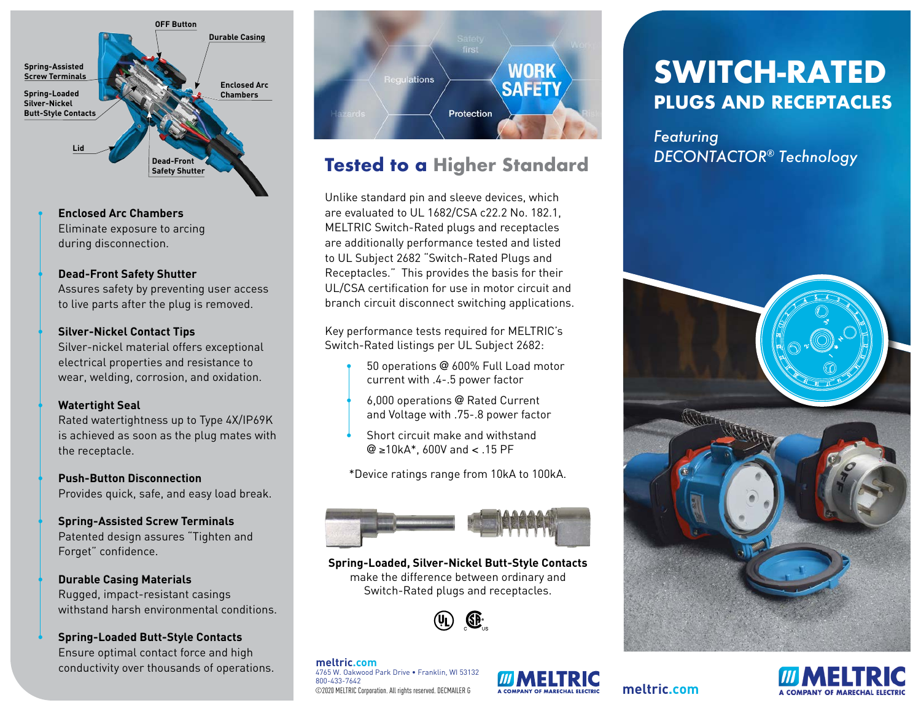

• **Enclosed Arc Chambers** Eliminate exposure to arcing during disconnection.

#### • **Dead-Front Safety Shutter**

Assures safety by preventing user access to live parts after the plug is removed.

#### • **Silver-Nickel Contact Tips**

Silver-nickel material offers exceptional electrical properties and resistance to wear, welding, corrosion, and oxidation.

#### • **Watertight Seal**

Rated watertightness up to Type 4X/IP69K is achieved as soon as the plug mates with the receptacle.

#### • **Push-Button Disconnection**

Provides quick, safe, and easy load break.

#### • **Spring-Assisted Screw Terminals**

Patented design assures "Tighten and Forget" confidence.

#### • **Durable Casing Materials**

Rugged, impact-resistant casings withstand harsh environmental conditions.

#### • **Spring-Loaded Butt-Style Contacts**

Ensure optimal contact force and high conductivity over thousands of operations.



### **Tested to a Higher Standard**

Unlike standard pin and sleeve devices, which are evaluated to UL 1682/CSA c22.2 No. 182.1, MELTRIC Switch-Rated plugs and receptacles are additionally performance tested and listed to UL Subject 2682 "Switch-Rated Plugs and Receptacles." This provides the basis for their UL/CSA certification for use in motor circuit and branch circuit disconnect switching applications.

Key performance tests required for MELTRIC's Switch-Rated listings per UL Subject 2682:

- 50 operations @ 600% Full Load motor current with .4-.5 power factor
- 6,000 operations @ Rated Current and Voltage with .75-.8 power factor
- Short circuit make and withstand @ ≥10kA\*, 600V and < .15 PF

\*Device ratings range from 10kA to 100kA.



**Spring-Loaded, Silver-Nickel Butt-Style Contacts** make the difference between ordinary and Switch-Rated plugs and receptacles.



**[meltric.com](http://www.meltric.com)** 4765 W. Oakwood Park Drive • Franklin, WI 53132 800-433-7642 ©2020 MELTRIC Corporation. All rights reserved. DECMAILER G



**meltric.com**

# **SWITCH-RATED PLUGS AND RECEPTACLES**

*Featuring DECONTACTOR® Technology*